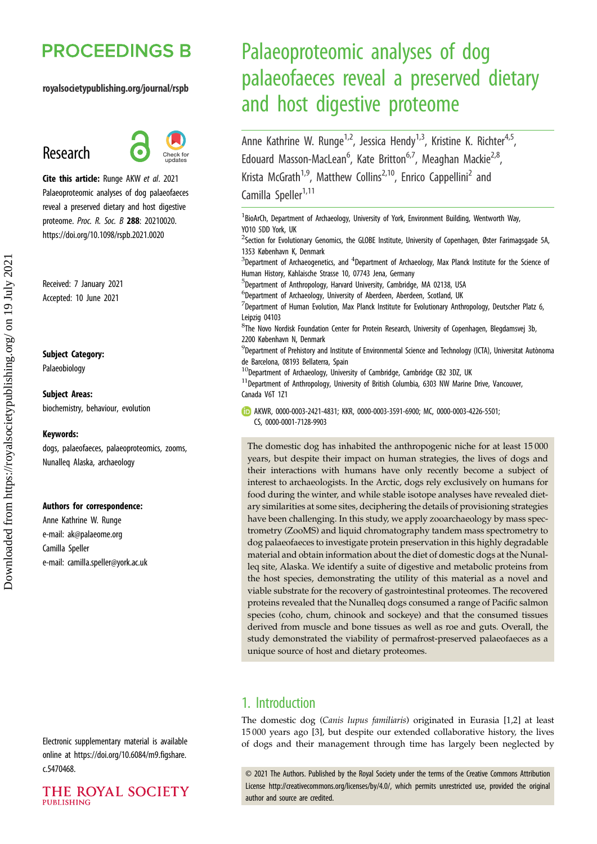# **PROCEEDINGS B**

### royalsocietypublishing.org/journal/rspb

# Research



Cite this article: Runge AKW et al. 2021 Palaeoproteomic analyses of dog palaeofaeces reveal a preserved dietary and host digestive proteome. Proc. R. Soc. B 288: 20210020. https://doi.org/10.1098/rspb.2021.0020

Received: 7 January 2021 Accepted: 10 June 2021

Subject Category:

Palaeobiology

### Subject Areas:

biochemistry, behaviour, evolution

### Keywords:

dogs, palaeofaeces, palaeoproteomics, zooms, Nunalleq Alaska, archaeology

### Authors for correspondence:

Anne Kathrine W. Runge e-mail: [ak@palaeome.org](mailto:ak@palaeome.org) Camilla Speller e-mail: [camilla.speller@york.ac.uk](mailto:camilla.speller@york.ac.uk)

Electronic supplementary material is available online at [https://doi.org/10.6084/m9.figshare.](https://doi.org/10.6084/m9.figshare.c.5470468) [c.5470468.](https://doi.org/10.6084/m9.figshare.c.5470468)

### THE ROYAL SOCIETY **PUBLISHING**

# Palaeoproteomic analyses of dog palaeofaeces reveal a preserved dietary and host digestive proteome

Anne Kathrine W. Runge<sup>1,2</sup>, Jessica Hendy<sup>1,3</sup>, Kristine K. Richter<sup>4,5</sup>, Edouard Masson-MacLean<sup>6</sup>, Kate Britton<sup>6,7</sup>, Meaghan Mackie<sup>2,8</sup>, Krista McGrath<sup>1,9</sup>, Matthew Collins<sup>2,10</sup>, Enrico Cappellini<sup>2</sup> and Camilla Speller<sup>1,11</sup>

<sup>1</sup>BioArCh, Department of Archaeology, University of York, Environment Building, Wentworth Way, YO10 5DD York, UK

<sup>2</sup>Section for Evolutionary Genomics, the GLOBE Institute, University of Copenhagen, Øster Farimagsgade 5A, 1353 København K, Denmark

 $3$ Department of Archaeogenetics, and  $4$ Department of Archaeology, Max Planck Institute for the Science of Human History, Kahlaische Strasse 10, 07743 Jena, Germany

- 5 Department of Anthropology, Harvard University, Cambridge, MA 02138, USA
- <sup>6</sup>Department of Archaeology, University of Aberdeen, Aberdeen, Scotland, UK
- $^7$ Department of Human Evolution, Max Planck Institute for Evolutionary Anthropology, Deutscher Platz 6, Leipzig 04103
- 8 The Novo Nordisk Foundation Center for Protein Research, University of Copenhagen, Blegdamsvej 3b, 2200 København N, Denmark

9 Department of Prehistory and Institute of Environmental Science and Technology (ICTA), Universitat Autònoma de Barcelona, 08193 Bellaterra, Spain

 $10$ Department of Archaeology, University of Cambridge, Cambridge CB2 3DZ, UK

<sup>11</sup> Department of Anthropology, University of British Columbia, 6303 NW Marine Drive, Vancouver, Canada V6T 1Z1

AKWR, [0000-0003-2421-4831](http://orcid.org/0000-0003-2421-4831); KKR, [0000-0003-3591-6900;](http://orcid.org/0000-0003-3591-6900) MC, [0000-0003-4226-5501](http://orcid.org/0000-0003-4226-5501); CS, [0000-0001-7128-9903](http://orcid.org/0000-0001-7128-9903)

The domestic dog has inhabited the anthropogenic niche for at least 15 000 years, but despite their impact on human strategies, the lives of dogs and their interactions with humans have only recently become a subject of interest to archaeologists. In the Arctic, dogs rely exclusively on humans for food during the winter, and while stable isotope analyses have revealed dietary similarities at some sites, deciphering the details of provisioning strategies have been challenging. In this study, we apply zooarchaeology by mass spectrometry (ZooMS) and liquid chromatography tandem mass spectrometry to dog palaeofaeces to investigate protein preservation in this highly degradable material and obtain information about the diet of domestic dogs at the Nunalleq site, Alaska. We identify a suite of digestive and metabolic proteins from the host species, demonstrating the utility of this material as a novel and viable substrate for the recovery of gastrointestinal proteomes. The recovered proteins revealed that the Nunalleq dogs consumed a range of Pacific salmon species (coho, chum, chinook and sockeye) and that the consumed tissues derived from muscle and bone tissues as well as roe and guts. Overall, the study demonstrated the viability of permafrost-preserved palaeofaeces as a unique source of host and dietary proteomes.

# 1. Introduction

The domestic dog (Canis lupus familiaris) originated in Eurasia [\[1,2\]](#page-7-0) at least 15 000 years ago [\[3\]](#page-7-0), but despite our extended collaborative history, the lives of dogs and their management through time has largely been neglected by

© 2021 The Authors. Published by the Royal Society under the terms of the Creative Commons Attribution License<http://creativecommons.org/licenses/by/4.0/>, which permits unrestricted use, provided the original author and source are credited.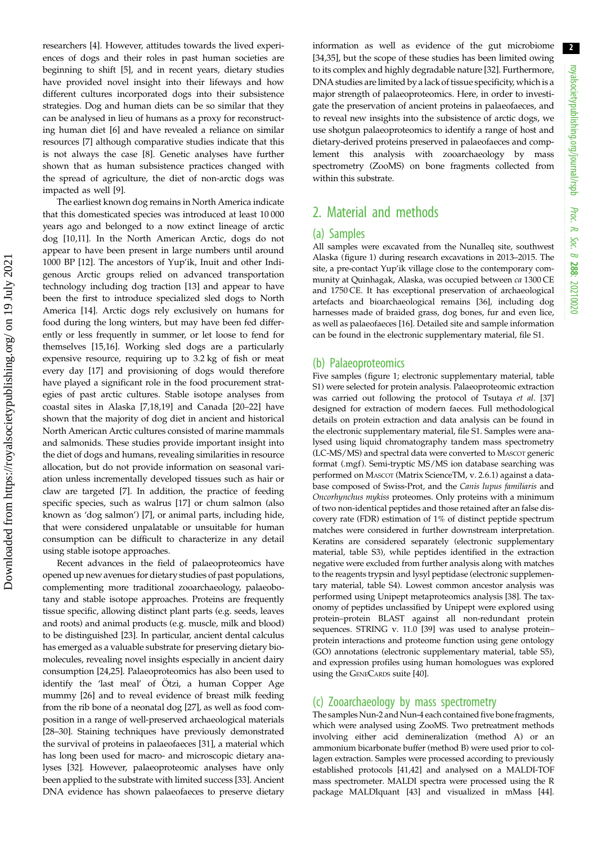researchers [\[4\]](#page-7-0). However, attitudes towards the lived experiences of dogs and their roles in past human societies are beginning to shift [\[5\]](#page-7-0), and in recent years, dietary studies have provided novel insight into their lifeways and how different cultures incorporated dogs into their subsistence strategies. Dog and human diets can be so similar that they can be analysed in lieu of humans as a proxy for reconstructing human diet [\[6\]](#page-7-0) and have revealed a reliance on similar resources [\[7\]](#page-7-0) although comparative studies indicate that this is not always the case [\[8\]](#page-7-0). Genetic analyses have further shown that as human subsistence practices changed with the spread of agriculture, the diet of non-arctic dogs was impacted as well [[9](#page-8-0)].

The earliest known dog remains in North America indicate that this domesticated species was introduced at least 10 000 years ago and belonged to a now extinct lineage of arctic dog [[10,11\]](#page-8-0). In the North American Arctic, dogs do not appear to have been present in large numbers until around 1000 BP [[12\]](#page-8-0). The ancestors of Yup'ik, Inuit and other Indigenous Arctic groups relied on advanced transportation technology including dog traction [\[13](#page-8-0)] and appear to have been the first to introduce specialized sled dogs to North America [[14](#page-8-0)]. Arctic dogs rely exclusively on humans for food during the long winters, but may have been fed differently or less frequently in summer, or let loose to fend for themselves [\[15,16](#page-8-0)]. Working sled dogs are a particularly expensive resource, requiring up to 3.2 kg of fish or meat every day [\[17](#page-8-0)] and provisioning of dogs would therefore have played a significant role in the food procurement strategies of past arctic cultures. Stable isotope analyses from coastal sites in Alaska [[7](#page-7-0)[,18](#page-8-0),[19\]](#page-8-0) and Canada [[20](#page-8-0)–[22](#page-8-0)] have shown that the majority of dog diet in ancient and historical North American Arctic cultures consisted of marine mammals and salmonids. These studies provide important insight into the diet of dogs and humans, revealing similarities in resource allocation, but do not provide information on seasonal variation unless incrementally developed tissues such as hair or claw are targeted [\[7\]](#page-7-0). In addition, the practice of feeding specific species, such as walrus [[17\]](#page-8-0) or chum salmon (also known as 'dog salmon') [[7](#page-7-0)], or animal parts, including hide, that were considered unpalatable or unsuitable for human consumption can be difficult to characterize in any detail using stable isotope approaches.

Recent advances in the field of palaeoproteomics have opened up new avenues for dietary studies of past populations, complementing more traditional zooarchaeology, palaeobotany and stable isotope approaches. Proteins are frequently tissue specific, allowing distinct plant parts (e.g. seeds, leaves and roots) and animal products (e.g. muscle, milk and blood) to be distinguished [[23](#page-8-0)]. In particular, ancient dental calculus has emerged as a valuable substrate for preserving dietary biomolecules, revealing novel insights especially in ancient dairy consumption [\[24](#page-8-0),[25](#page-8-0)]. Palaeoproteomics has also been used to identify the 'last meal' of Ötzi, a human Copper Age mummy [[26\]](#page-8-0) and to reveal evidence of breast milk feeding from the rib bone of a neonatal dog [[27\]](#page-8-0), as well as food composition in a range of well-preserved archaeological materials [\[28](#page-8-0)–[30\]](#page-8-0). Staining techniques have previously demonstrated the survival of proteins in palaeofaeces [\[31](#page-8-0)], a material which has long been used for macro- and microscopic dietary analyses [[32\]](#page-8-0). However, palaeoproteomic analyses have only been applied to the substrate with limited success [\[33](#page-8-0)]. Ancient DNA evidence has shown palaeofaeces to preserve dietary information as well as evidence of the gut microbiome [[34,35\]](#page-8-0), but the scope of these studies has been limited owing to its complex and highly degradable nature [[32\]](#page-8-0). Furthermore, DNA studies are limited by a lack of tissue specificity, which is a major strength of palaeoproteomics. Here, in order to investigate the preservation of ancient proteins in palaeofaeces, and to reveal new insights into the subsistence of arctic dogs, we use shotgun palaeoproteomics to identify a range of host and dietary-derived proteins preserved in palaeofaeces and complement this analysis with zooarchaeology by mass spectrometry (ZooMS) on bone fragments collected from within this substrate.

## 2. Material and methods

### (a) Samples

All samples were excavated from the Nunalleq site, southwest Alaska [\(figure 1\)](#page-2-0) during research excavations in 2013–2015. The site, a pre-contact Yup'ik village close to the contemporary community at Quinhagak, Alaska, was occupied between ca 1300 CE and 1750 CE. It has exceptional preservation of archaeological artefacts and bioarchaeological remains [[36](#page-8-0)], including dog harnesses made of braided grass, dog bones, fur and even lice, as well as palaeofaeces [\[16\]](#page-8-0). Detailed site and sample information can be found in the electronic supplementary material, file S1.

### (b) Palaeoproteomics

Five samples [\(figure 1](#page-2-0); electronic supplementary material, table S1) were selected for protein analysis. Palaeoproteomic extraction was carried out following the protocol of Tsutaya et al. [[37](#page-8-0)] designed for extraction of modern faeces. Full methodological details on protein extraction and data analysis can be found in the electronic supplementary material, file S1. Samples were analysed using liquid chromatography tandem mass spectrometry (LC-MS/MS) and spectral data were converted to MASCOT generic format (.mgf). Semi-tryptic MS/MS ion database searching was performed on MASCOT (Matrix ScienceTM, v. 2.6.1) against a database composed of Swiss-Prot, and the Canis lupus familiaris and Oncorhynchus mykiss proteomes. Only proteins with a minimum of two non-identical peptides and those retained after an false discovery rate (FDR) estimation of 1% of distinct peptide spectrum matches were considered in further downstream interpretation. Keratins are considered separately (electronic supplementary material, table S3), while peptides identified in the extraction negative were excluded from further analysis along with matches to the reagents trypsin and lysyl peptidase (electronic supplementary material, table S4). Lowest common ancestor analysis was performed using Unipept metaproteomics analysis [\[38](#page-8-0)]. The taxonomy of peptides unclassified by Unipept were explored using protein–protein BLAST against all non-redundant protein sequences. STRING v. 11.0 [[39](#page-8-0)] was used to analyse protein– protein interactions and proteome function using gene ontology (GO) annotations (electronic supplementary material, table S5), and expression profiles using human homologues was explored using the GENECARDS suite [[40](#page-8-0)].

### (c) Zooarchaeology by mass spectrometry

The samples Nun-2 and Nun-4 each contained five bone fragments, which were analysed using ZooMS. Two pretreatment methods involving either acid demineralization (method A) or an ammonium bicarbonate buffer (method B) were used prior to collagen extraction. Samples were processed according to previously established protocols [\[41,42](#page-8-0)] and analysed on a MALDI-TOF mass spectrometer. MALDI spectra were processed using the R package MALDIquant [\[43\]](#page-8-0) and visualized in mMass [\[44\]](#page-8-0).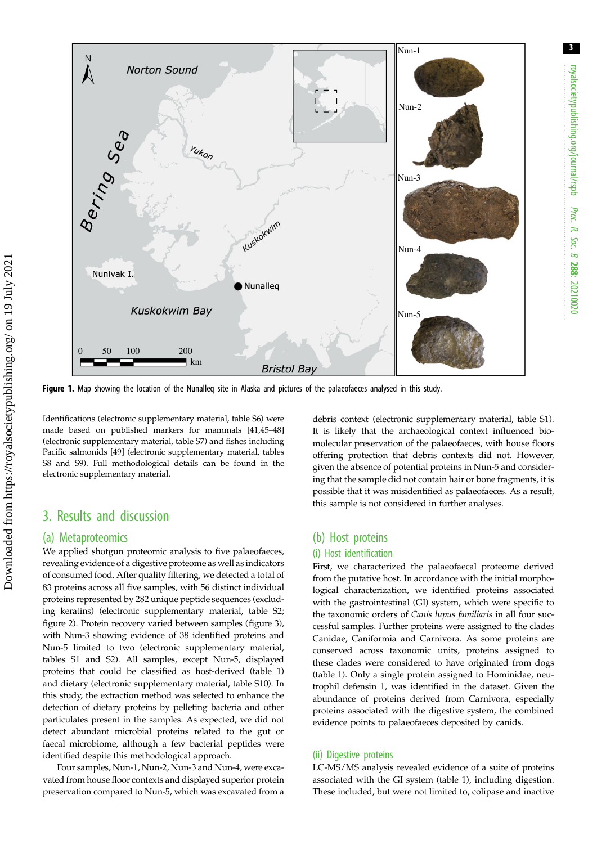<span id="page-2-0"></span>

Figure 1. Map showing the location of the Nunalleg site in Alaska and pictures of the palaeofaeces analysed in this study.

Identifications (electronic supplementary material, table S6) were made based on published markers for mammals [\[41,45](#page-8-0)–[48\]](#page-8-0) (electronic supplementary material, table S7) and fishes including Pacific salmonids [[49](#page-8-0)] (electronic supplementary material, tables S8 and S9). Full methodological details can be found in the electronic supplementary material.

# 3. Results and discussion

### (a) Metaproteomics

We applied shotgun proteomic analysis to five palaeofaeces, revealing evidence of a digestive proteome as well as indicators of consumed food. After quality filtering, we detected a total of 83 proteins across all five samples, with 56 distinct individual proteins represented by 282 unique peptide sequences (excluding keratins) (electronic supplementary material, table S2; [figure 2\)](#page-3-0). Protein recovery varied between samples ([figure 3](#page-3-0)), with Nun-3 showing evidence of 38 identified proteins and Nun-5 limited to two (electronic supplementary material, tables S1 and S2). All samples, except Nun-5, displayed proteins that could be classified as host-derived [\(table 1\)](#page-4-0) and dietary (electronic supplementary material, table S10). In this study, the extraction method was selected to enhance the detection of dietary proteins by pelleting bacteria and other particulates present in the samples. As expected, we did not detect abundant microbial proteins related to the gut or faecal microbiome, although a few bacterial peptides were identified despite this methodological approach.

Four samples, Nun-1, Nun-2, Nun-3 and Nun-4, were excavated from house floor contexts and displayed superior protein preservation compared to Nun-5, which was excavated from a debris context (electronic supplementary material, table S1). It is likely that the archaeological context influenced biomolecular preservation of the palaeofaeces, with house floors offering protection that debris contexts did not. However, given the absence of potential proteins in Nun-5 and considering that the sample did not contain hair or bone fragments, it is possible that it was misidentified as palaeofaeces. As a result, this sample is not considered in further analyses.

### (b) Host proteins

#### (i) Host identification

First, we characterized the palaeofaecal proteome derived from the putative host. In accordance with the initial morphological characterization, we identified proteins associated with the gastrointestinal (GI) system, which were specific to the taxonomic orders of Canis lupus familiaris in all four successful samples. Further proteins were assigned to the clades Canidae, Caniformia and Carnivora. As some proteins are conserved across taxonomic units, proteins assigned to these clades were considered to have originated from dogs ([table 1](#page-4-0)). Only a single protein assigned to Hominidae, neutrophil defensin 1, was identified in the dataset. Given the abundance of proteins derived from Carnivora, especially proteins associated with the digestive system, the combined evidence points to palaeofaeces deposited by canids.

### (ii) Digestive proteins

LC-MS/MS analysis revealed evidence of a suite of proteins associated with the GI system [\(table 1](#page-4-0)), including digestion. These included, but were not limited to, colipase and inactive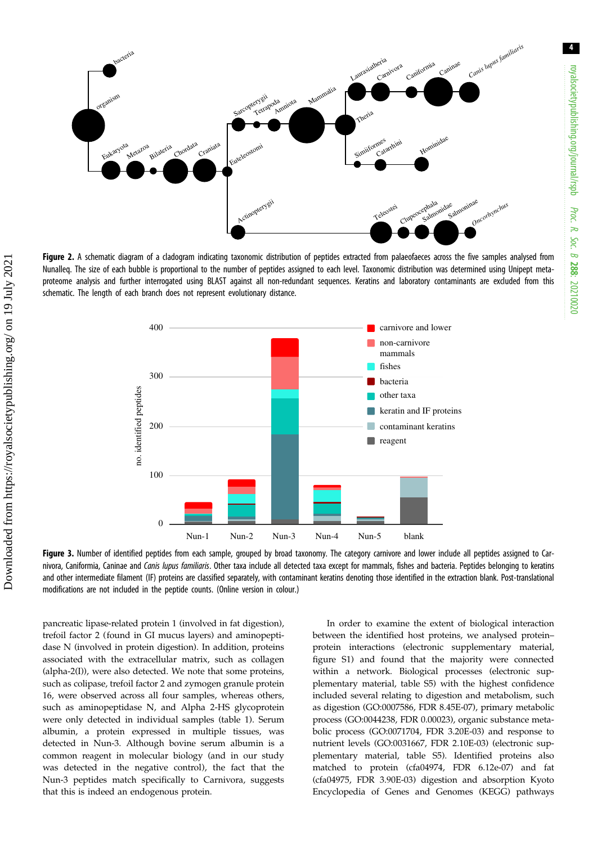<span id="page-3-0"></span>

Figure 2. A schematic diagram of a cladogram indicating taxonomic distribution of peptides extracted from palaeofaeces across the five samples analysed from Nunalleq. The size of each bubble is proportional to the number of peptides assigned to each level. Taxonomic distribution was determined using Unipept metaproteome analysis and further interrogated using BLAST against all non-redundant sequences. Keratins and laboratory contaminants are excluded from this schematic. The length of each branch does not represent evolutionary distance.



Figure 3. Number of identified peptides from each sample, grouped by broad taxonomy. The category carnivore and lower include all peptides assigned to Carnivora, Caniformia, Caninae and Canis lupus familiaris. Other taxa include all detected taxa except for mammals, fishes and bacteria. Peptides belonging to keratins and other intermediate filament (IF) proteins are classified separately, with contaminant keratins denoting those identified in the extraction blank. Post-translational modifications are not included in the peptide counts. (Online version in colour.)

pancreatic lipase-related protein 1 (involved in fat digestion), trefoil factor 2 (found in GI mucus layers) and aminopeptidase N (involved in protein digestion). In addition, proteins associated with the extracellular matrix, such as collagen (alpha-2(I)), were also detected. We note that some proteins, such as colipase, trefoil factor 2 and zymogen granule protein 16, were observed across all four samples, whereas others, such as aminopeptidase N, and Alpha 2-HS glycoprotein were only detected in individual samples ([table 1\)](#page-4-0). Serum albumin, a protein expressed in multiple tissues, was detected in Nun-3. Although bovine serum albumin is a common reagent in molecular biology (and in our study was detected in the negative control), the fact that the Nun-3 peptides match specifically to Carnivora, suggests that this is indeed an endogenous protein.

In order to examine the extent of biological interaction between the identified host proteins, we analysed proteinprotein interactions (electronic supplementary material, figure S1) and found that the majority were connected within a network. Biological processes (electronic supplementary material, table S5) with the highest confidence included several relating to digestion and metabolism, such as digestion (GO:0007586, FDR 8.45E-07), primary metabolic process (GO:0044238, FDR 0.00023), organic substance metabolic process (GO:0071704, FDR 3.20E-03) and response to nutrient levels (GO:0031667, FDR 2.10E-03) (electronic supplementary material, table S5). Identified proteins also matched to protein (cfa04974, FDR 6.12e-07) and fat (cfa04975, FDR 3.90E-03) digestion and absorption Kyoto Encyclopedia of Genes and Genomes (KEGG) pathways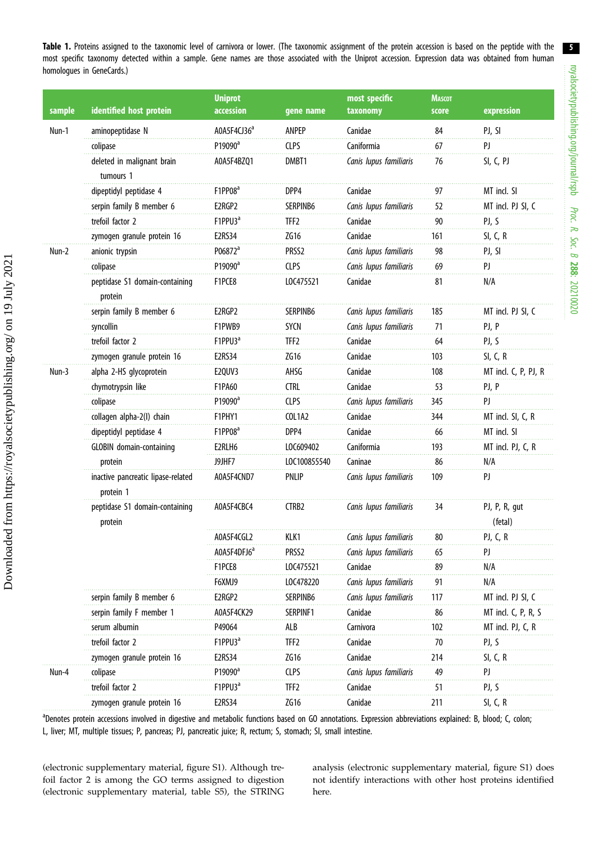<span id="page-4-0"></span>Table 1. Proteins assigned to the taxonomic level of carnivora or lower. (The taxonomic assignment of the protein accession is based on the peptide with the most specific taxonomy detected within a sample. Gene names are those associated with the Uniprot accession. Expression data was obtained from human homologues in GeneCards.)

| sample | identified host protein                         | <b>Uniprot</b><br>accession | gene name         | most specific<br>taxonomy | <b>MASCOT</b><br>score | expression               |
|--------|-------------------------------------------------|-----------------------------|-------------------|---------------------------|------------------------|--------------------------|
| Nun-1  | aminopeptidase N                                | A0A5F4CJ36ª                 | ANPEP             | Canidae                   | 84                     | PJ, SI                   |
|        | colipase                                        | P19090 <sup>a</sup>         | <b>CLPS</b>       | Caniformia                | 67                     | PJ                       |
|        | deleted in malignant brain                      | A0A5F4BZQ1                  | DMBT1             | Canis lupus familiaris    | 76                     | SI, C, PJ                |
|        | tumours 1                                       |                             |                   |                           |                        |                          |
|        | dipeptidyl peptidase 4                          | F1PP08 <sup>ª</sup>         | DPP4              | Canidae                   | 97                     | MT incl. SI              |
|        | serpin family B member 6                        | E2RGP2                      | SERPINB6          | Canis lupus familiaris    | 52                     | MT incl. PJ SI, C        |
|        | trefoil factor 2                                | F1PPU3 <sup>a</sup>         | TFF <sub>2</sub>  | Canidae                   | 90                     | PJ, S                    |
|        | zymogen granule protein 16                      | E2RS34                      | ZG16              | Canidae                   | 161                    | SI, C, R                 |
| Nun-2  | anionic trypsin                                 | P06872 <sup>a</sup>         | PRSS <sub>2</sub> | Canis lupus familiaris    | 98                     | PJ, SI                   |
|        | colipase                                        | P19090 <sup>a</sup>         | <b>CLPS</b>       | Canis lupus familiaris    | 69                     | PJ                       |
|        | peptidase S1 domain-containing<br>protein       | F1PCE8                      | LOC475521         | Canidae                   | 81                     | N/A                      |
|        | serpin family B member 6                        | E2RGP2                      | SERPINB6          | Canis lupus familiaris    | 185                    | MT incl. PJ SI, C        |
|        | syncollin                                       | F1PWB9                      | <b>SYCN</b>       | Canis lupus familiaris    | 71                     | PJ, P                    |
|        | trefoil factor 2                                | F1PPU3 <sup>a</sup>         | TFF <sub>2</sub>  | Canidae                   | 64                     | PJ, S                    |
|        | zymogen granule protein 16                      | E2RS34                      | ZG16              | Canidae                   | 103                    | SI, C, R                 |
| Nun-3  | alpha 2-HS glycoprotein                         | E2QUV3                      | AHSG              | Canidae                   | 108                    | MT incl. C, P, PJ, R     |
|        | chymotrypsin like                               | F1PA60                      | <b>CTRL</b>       | Canidae                   | 53                     | PJ, P                    |
|        | colipase                                        | P19090 <sup>a</sup>         | <b>CLPS</b>       | Canis lupus familiaris    | 345                    | PJ                       |
|        | collagen alpha-2(I) chain                       | F1PHY1                      | COL1A2            | Canidae                   | 344                    | MT incl. SI, C, R        |
|        | dipeptidyl peptidase 4                          | F1PP08 <sup>a</sup>         | DPP4              | Canidae                   | 66                     | MT incl. SI              |
|        | GLOBIN domain-containing<br>protein             | E2RLH6                      | LOC609402         | Caniformia                | 193                    | MT incl. PJ, C, R        |
|        |                                                 | J9JHF7                      | LOC100855540      | Caninae                   | 86                     | N/A                      |
|        | inactive pancreatic lipase-related<br>protein 1 | A0A5F4CND7                  | PNLIP             | Canis lupus familiaris    | 109                    | PJ                       |
|        | peptidase S1 domain-containing<br>protein       | A0A5F4CBC4                  | CTRB2             | Canis lupus familiaris    | 34                     | PJ, P, R, gut<br>(fetal) |
|        |                                                 | A0A5F4CGL2                  | KLK1              | Canis lupus familiaris    | 80                     | PJ, C, R                 |
|        |                                                 | A0A5F4DFJ6ª                 | PRSS <sub>2</sub> | Canis lupus familiaris    | 65                     | PJ                       |
|        |                                                 | F1PCE8                      | LOC475521         | Canidae                   | 89                     | N/A                      |
|        |                                                 | F6XMJ9                      | LOC478220         | Canis lupus familiaris    | 91                     | N/A                      |
|        | serpin family B member 6                        | E2RGP2                      | SERPINB6          | Canis lupus familiaris    | 117                    | MT incl. PJ SI, C        |
|        | serpin family F member 1                        | A0A5F4CK29                  | SERPINF1          | Canidae                   | 86                     | MT incl. C, P, R, S      |
|        | serum albumin                                   | P49064                      | ALB               | Carnivora                 | 102                    | MT incl. PJ, C, R        |
|        | trefoil factor 2                                | F1PPU3 <sup>a</sup>         | TFF2              | Canidae                   | 70                     | PJ, S                    |
|        | zymogen granule protein 16                      | E2RS34                      | ZG16              | Canidae                   | 214                    | SI, C, R                 |
| Nun-4  | colipase                                        | P19090 <sup>a</sup>         | <b>CLPS</b>       | Canis lupus familiaris    | 49                     | PJ                       |
|        | trefoil factor 2                                | F1PPU3 <sup>a</sup>         | TFF2              | Canidae                   | 51                     | PJ, S                    |
|        | zymogen granule protein 16                      | E2RS34                      | ZG16              | Canidae                   | 211                    | SI, C, R                 |

<sup>a</sup>Denotes protein accessions involved in digestive and metabolic functions based on GO annotations. Expression abbreviations explained: B, blood; C, colon; L, liver; MT, multiple tissues; P, pancreas; PJ, pancreatic juice; R, rectum; S, stomach; SI, small intestine.

(electronic supplementary material, figure S1). Although trefoil factor 2 is among the GO terms assigned to digestion (electronic supplementary material, table S5), the STRING

analysis (electronic supplementary material, figure S1) does not identify interactions with other host proteins identified here.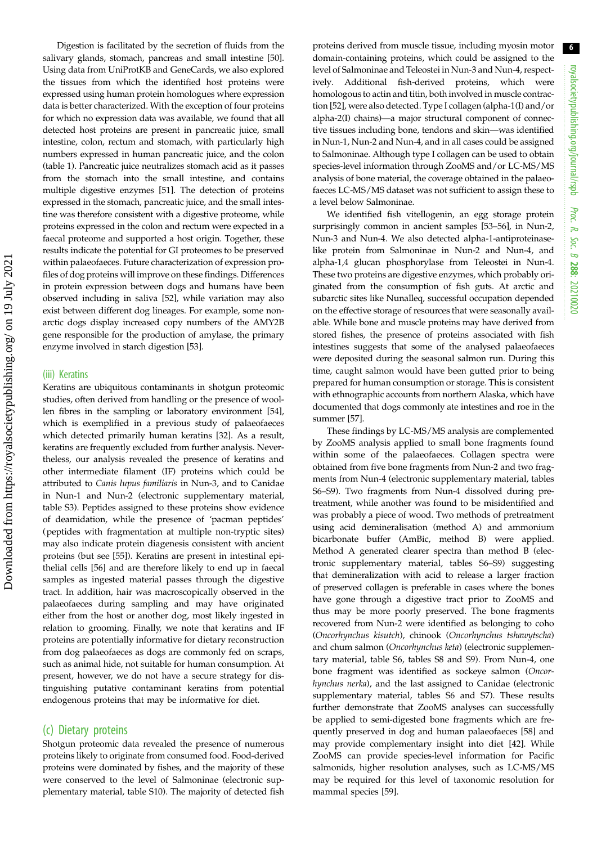Digestion is facilitated by the secretion of fluids from the salivary glands, stomach, pancreas and small intestine [\[50](#page-9-0)]. Using data from UniProtKB and GeneCards, we also explored the tissues from which the identified host proteins were expressed using human protein homologues where expression data is better characterized. With the exception of four proteins for which no expression data was available, we found that all detected host proteins are present in pancreatic juice, small intestine, colon, rectum and stomach, with particularly high numbers expressed in human pancreatic juice, and the colon [\(table 1](#page-4-0)). Pancreatic juice neutralizes stomach acid as it passes from the stomach into the small intestine, and contains multiple digestive enzymes [\[51](#page-9-0)]. The detection of proteins expressed in the stomach, pancreatic juice, and the small intestine was therefore consistent with a digestive proteome, while proteins expressed in the colon and rectum were expected in a faecal proteome and supported a host origin. Together, these results indicate the potential for GI proteomes to be preserved within palaeofaeces. Future characterization of expression profiles of dog proteins will improve on these findings. Differences in protein expression between dogs and humans have been observed including in saliva [\[52](#page-9-0)], while variation may also exist between different dog lineages. For example, some nonarctic dogs display increased copy numbers of the AMY2B gene responsible for the production of amylase, the primary enzyme involved in starch digestion [\[53](#page-9-0)].

### (iii) Keratins

Downloaded from https://royalsocietypublishing.org/ on 19 July 2021

Downloaded from https://royalsocietypublishing.org/ on 19 July 2022

Keratins are ubiquitous contaminants in shotgun proteomic studies, often derived from handling or the presence of woollen fibres in the sampling or laboratory environment [\[54](#page-9-0)], which is exemplified in a previous study of palaeofaeces which detected primarily human keratins [\[32](#page-8-0)]. As a result, keratins are frequently excluded from further analysis. Nevertheless, our analysis revealed the presence of keratins and other intermediate filament (IF) proteins which could be attributed to Canis lupus familiaris in Nun-3, and to Canidae in Nun-1 and Nun-2 (electronic supplementary material, table S3). Peptides assigned to these proteins show evidence of deamidation, while the presence of 'pacman peptides' (peptides with fragmentation at multiple non-tryptic sites) may also indicate protein diagenesis consistent with ancient proteins (but see [\[55](#page-9-0)]). Keratins are present in intestinal epithelial cells [[56\]](#page-9-0) and are therefore likely to end up in faecal samples as ingested material passes through the digestive tract. In addition, hair was macroscopically observed in the palaeofaeces during sampling and may have originated either from the host or another dog, most likely ingested in relation to grooming. Finally, we note that keratins and IF proteins are potentially informative for dietary reconstruction from dog palaeofaeces as dogs are commonly fed on scraps, such as animal hide, not suitable for human consumption. At present, however, we do not have a secure strategy for distinguishing putative contaminant keratins from potential endogenous proteins that may be informative for diet.

### (c) Dietary proteins

Shotgun proteomic data revealed the presence of numerous proteins likely to originate from consumed food. Food-derived proteins were dominated by fishes, and the majority of these were conserved to the level of Salmoninae (electronic supplementary material, table S10). The majority of detected fish proteins derived from muscle tissue, including myosin motor domain-containing proteins, which could be assigned to the level of Salmoninae and Teleostei in Nun-3 and Nun-4, respectively. Additional fish-derived proteins, which were homologous to actin and titin, both involved in muscle contraction [[52\]](#page-9-0), were also detected. Type I collagen (alpha-1(I) and/or alpha-2(I) chains)—a major structural component of connective tissues including bone, tendons and skin—was identified in Nun-1, Nun-2 and Nun-4, and in all cases could be assigned to Salmoninae. Although type I collagen can be used to obtain species-level information through ZooMS and/or LC-MS/MS analysis of bone material, the coverage obtained in the palaeofaeces LC-MS/MS dataset was not sufficient to assign these to a level below Salmoninae.

We identified fish vitellogenin, an egg storage protein surprisingly common in ancient samples [[53](#page-9-0)–[56](#page-9-0)], in Nun-2, Nun-3 and Nun-4. We also detected alpha-1-antiproteinaselike protein from Salmoninae in Nun-2 and Nun-4, and alpha-1,4 glucan phosphorylase from Teleostei in Nun-4. These two proteins are digestive enzymes, which probably originated from the consumption of fish guts. At arctic and subarctic sites like Nunalleq, successful occupation depended on the effective storage of resources that were seasonally available. While bone and muscle proteins may have derived from stored fishes, the presence of proteins associated with fish intestines suggests that some of the analysed palaeofaeces were deposited during the seasonal salmon run. During this time, caught salmon would have been gutted prior to being prepared for human consumption or storage. This is consistent with ethnographic accounts from northern Alaska, which have documented that dogs commonly ate intestines and roe in the summer [\[57](#page-9-0)].

These findings by LC-MS/MS analysis are complemented by ZooMS analysis applied to small bone fragments found within some of the palaeofaeces. Collagen spectra were obtained from five bone fragments from Nun-2 and two fragments from Nun-4 (electronic supplementary material, tables S6–S9). Two fragments from Nun-4 dissolved during pretreatment, while another was found to be misidentified and was probably a piece of wood. Two methods of pretreatment using acid demineralisation (method A) and ammonium bicarbonate buffer (AmBic, method B) were applied. Method A generated clearer spectra than method B (electronic supplementary material, tables S6–S9) suggesting that demineralization with acid to release a larger fraction of preserved collagen is preferable in cases where the bones have gone through a digestive tract prior to ZooMS and thus may be more poorly preserved. The bone fragments recovered from Nun-2 were identified as belonging to coho (Oncorhynchus kisutch), chinook (Oncorhynchus tshawytscha) and chum salmon (Oncorhynchus keta) (electronic supplementary material, table S6, tables S8 and S9). From Nun-4, one bone fragment was identified as sockeye salmon (Oncorhynchus nerka), and the last assigned to Canidae (electronic supplementary material, tables S6 and S7). These results further demonstrate that ZooMS analyses can successfully be applied to semi-digested bone fragments which are frequently preserved in dog and human palaeofaeces [\[58](#page-9-0)] and may provide complementary insight into diet [\[42](#page-8-0)]. While ZooMS can provide species-level information for Pacific salmonids, higher resolution analyses, such as LC-MS/MS may be required for this level of taxonomic resolution for mammal species [[59\]](#page-9-0).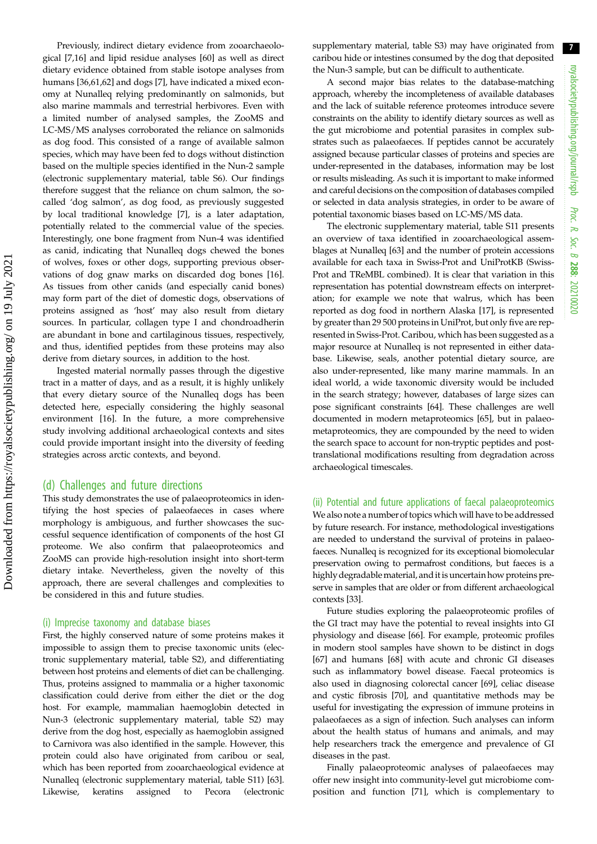Previously, indirect dietary evidence from zooarchaeological [\[7](#page-7-0)[,16](#page-8-0)] and lipid residue analyses [\[60](#page-9-0)] as well as direct dietary evidence obtained from stable isotope analyses from humans [\[36](#page-8-0),[61,62\]](#page-9-0) and dogs [\[7](#page-7-0)], have indicated a mixed economy at Nunalleq relying predominantly on salmonids, but also marine mammals and terrestrial herbivores. Even with a limited number of analysed samples, the ZooMS and LC-MS/MS analyses corroborated the reliance on salmonids as dog food. This consisted of a range of available salmon species, which may have been fed to dogs without distinction based on the multiple species identified in the Nun-2 sample (electronic supplementary material, table S6). Our findings therefore suggest that the reliance on chum salmon, the socalled 'dog salmon', as dog food, as previously suggested by local traditional knowledge [[7](#page-7-0)], is a later adaptation, potentially related to the commercial value of the species. Interestingly, one bone fragment from Nun-4 was identified as canid, indicating that Nunalleq dogs chewed the bones of wolves, foxes or other dogs, supporting previous observations of dog gnaw marks on discarded dog bones [\[16](#page-8-0)]. As tissues from other canids (and especially canid bones) may form part of the diet of domestic dogs, observations of proteins assigned as 'host' may also result from dietary sources. In particular, collagen type I and chondroadherin are abundant in bone and cartilaginous tissues, respectively, and thus, identified peptides from these proteins may also derive from dietary sources, in addition to the host.

Ingested material normally passes through the digestive tract in a matter of days, and as a result, it is highly unlikely that every dietary source of the Nunalleq dogs has been detected here, especially considering the highly seasonal environment [\[16](#page-8-0)]. In the future, a more comprehensive study involving additional archaeological contexts and sites could provide important insight into the diversity of feeding strategies across arctic contexts, and beyond.

### (d) Challenges and future directions

This study demonstrates the use of palaeoproteomics in identifying the host species of palaeofaeces in cases where morphology is ambiguous, and further showcases the successful sequence identification of components of the host GI proteome. We also confirm that palaeoproteomics and ZooMS can provide high-resolution insight into short-term dietary intake. Nevertheless, given the novelty of this approach, there are several challenges and complexities to be considered in this and future studies.

### (i) Imprecise taxonomy and database biases

First, the highly conserved nature of some proteins makes it impossible to assign them to precise taxonomic units (electronic supplementary material, table S2), and differentiating between host proteins and elements of diet can be challenging. Thus, proteins assigned to mammalia or a higher taxonomic classification could derive from either the diet or the dog host. For example, mammalian haemoglobin detected in Nun-3 (electronic supplementary material, table S2) may derive from the dog host, especially as haemoglobin assigned to Carnivora was also identified in the sample. However, this protein could also have originated from caribou or seal, which has been reported from zooarchaeological evidence at Nunalleq (electronic supplementary material, table S11) [\[63](#page-9-0)]. Likewise, keratins assigned to Pecora (electronic

supplementary material, table S3) may have originated from caribou hide or intestines consumed by the dog that deposited the Nun-3 sample, but can be difficult to authenticate.

A second major bias relates to the database-matching approach, whereby the incompleteness of available databases and the lack of suitable reference proteomes introduce severe constraints on the ability to identify dietary sources as well as the gut microbiome and potential parasites in complex substrates such as palaeofaeces. If peptides cannot be accurately assigned because particular classes of proteins and species are under-represented in the databases, information may be lost or results misleading. As such it is important to make informed and careful decisions on the composition of databases compiled or selected in data analysis strategies, in order to be aware of potential taxonomic biases based on LC-MS/MS data.

The electronic supplementary material, table S11 presents an overview of taxa identified in zooarchaeological assemblages at Nunalleq [\[63](#page-9-0)] and the number of protein accessions available for each taxa in Swiss-Prot and UniProtKB (Swiss-Prot and TReMBL combined). It is clear that variation in this representation has potential downstream effects on interpretation; for example we note that walrus, which has been reported as dog food in northern Alaska [[17](#page-8-0)], is represented by greater than 29 500 proteins in UniProt, but only five are represented in Swiss-Prot. Caribou, which has been suggested as a major resource at Nunalleq is not represented in either database. Likewise, seals, another potential dietary source, are also under-represented, like many marine mammals. In an ideal world, a wide taxonomic diversity would be included in the search strategy; however, databases of large sizes can pose significant constraints [\[64\]](#page-9-0). These challenges are well documented in modern metaproteomics [[65\]](#page-9-0), but in palaeometaproteomics, they are compounded by the need to widen the search space to account for non-tryptic peptides and posttranslational modifications resulting from degradation across archaeological timescales.

(ii) Potential and future applications of faecal palaeoproteomics We also note a number of topics which will have to be addressed by future research. For instance, methodological investigations are needed to understand the survival of proteins in palaeofaeces. Nunalleq is recognized for its exceptional biomolecular preservation owing to permafrost conditions, but faeces is a highly degradable material, and it is uncertain how proteins preserve in samples that are older or from different archaeological contexts [\[33](#page-8-0)].

Future studies exploring the palaeoproteomic profiles of the GI tract may have the potential to reveal insights into GI physiology and disease [\[66](#page-9-0)]. For example, proteomic profiles in modern stool samples have shown to be distinct in dogs [[67\]](#page-9-0) and humans [[68\]](#page-9-0) with acute and chronic GI diseases such as inflammatory bowel disease. Faecal proteomics is also used in diagnosing colorectal cancer [[69](#page-9-0)], celiac disease and cystic fibrosis [\[70](#page-9-0)], and quantitative methods may be useful for investigating the expression of immune proteins in palaeofaeces as a sign of infection. Such analyses can inform about the health status of humans and animals, and may help researchers track the emergence and prevalence of GI diseases in the past.

Finally palaeoproteomic analyses of palaeofaeces may offer new insight into community-level gut microbiome composition and function [\[71](#page-9-0)], which is complementary to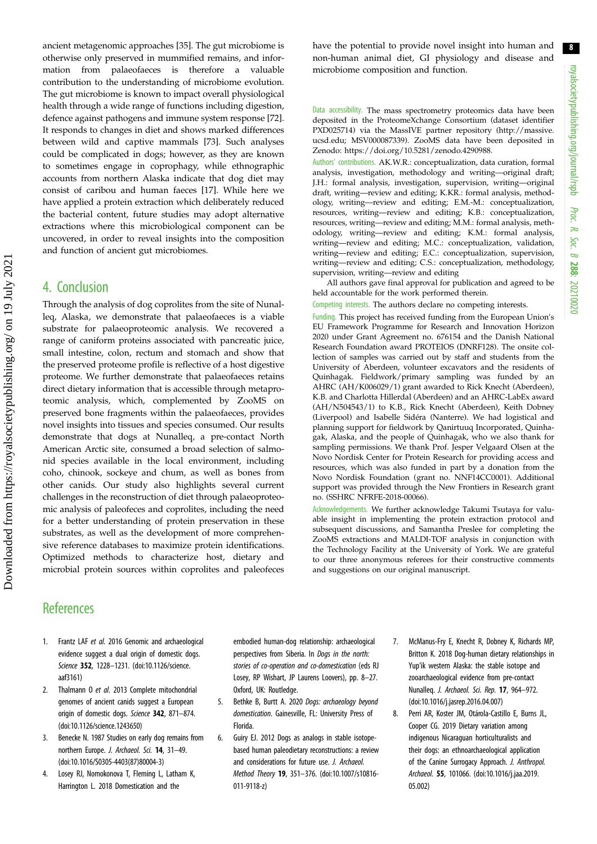<span id="page-7-0"></span>ancient metagenomic approaches [[35\]](#page-8-0). The gut microbiome is otherwise only preserved in mummified remains, and information from palaeofaeces is therefore a valuable contribution to the understanding of microbiome evolution. The gut microbiome is known to impact overall physiological health through a wide range of functions including digestion, defence against pathogens and immune system response [\[72](#page-9-0)]. It responds to changes in diet and shows marked differences between wild and captive mammals [\[73](#page-9-0)]. Such analyses could be complicated in dogs; however, as they are known to sometimes engage in coprophagy, while ethnographic accounts from northern Alaska indicate that dog diet may consist of caribou and human faeces [[17\]](#page-8-0). While here we have applied a protein extraction which deliberately reduced the bacterial content, future studies may adopt alternative extractions where this microbiological component can be uncovered, in order to reveal insights into the composition and function of ancient gut microbiomes.

### 4. Conclusion

Through the analysis of dog coprolites from the site of Nunalleq, Alaska, we demonstrate that palaeofaeces is a viable substrate for palaeoproteomic analysis. We recovered a range of caniform proteins associated with pancreatic juice, small intestine, colon, rectum and stomach and show that the preserved proteome profile is reflective of a host digestive proteome. We further demonstrate that palaeofaeces retains direct dietary information that is accessible through metaproteomic analysis, which, complemented by ZooMS on preserved bone fragments within the palaeofaeces, provides novel insights into tissues and species consumed. Our results demonstrate that dogs at Nunalleq, a pre-contact North American Arctic site, consumed a broad selection of salmonid species available in the local environment, including coho, chinook, sockeye and chum, as well as bones from other canids. Our study also highlights several current challenges in the reconstruction of diet through palaeoproteomic analysis of paleofeces and coprolites, including the need for a better understanding of protein preservation in these substrates, as well as the development of more comprehensive reference databases to maximize protein identifications. Optimized methods to characterize host, dietary and microbial protein sources within coprolites and paleofeces have the potential to provide novel insight into human and non-human animal diet, GI physiology and disease and microbiome composition and function.

Data accessibility. The mass spectrometry proteomics data have been deposited in the ProteomeXchange Consortium (dataset identifier PXD025714) via the MassIVE partner repository ([http://massive.](http://massive.ucsd.edu) [ucsd.edu](http://massive.ucsd.edu); MSV000087339). ZooMS data have been deposited in Zenodo:<https://doi.org/10.5281/zenodo.4290988>.

Authors' contributions. AK.W.R.: conceptualization, data curation, formal analysis, investigation, methodology and writing—original draft; J.H.: formal analysis, investigation, supervision, writing—original draft, writing—review and editing; K.KR.: formal analysis, methodology, writing—review and editing; E.M.-M.: conceptualization, resources, writing—review and editing; K.B.: conceptualization, resources, writing—review and editing; M.M.: formal analysis, methodology, writing—review and editing; K.M.: formal analysis, writing—review and editing; M.C.: conceptualization, validation, writing—review and editing; E.C.: conceptualization, supervision, writing—review and editing; C.S.: conceptualization, methodology, supervision, writing—review and editing

All authors gave final approval for publication and agreed to be held accountable for the work performed therein.

Competing interests. The authors declare no competing interests.

Funding. This project has received funding from the European Union's EU Framework Programme for Research and Innovation Horizon 2020 under Grant Agreement no. 676154 and the Danish National Research Foundation award PROTEIOS (DNRF128). The onsite collection of samples was carried out by staff and students from the University of Aberdeen, volunteer excavators and the residents of Quinhagak. Fieldwork/primary sampling was funded by an AHRC (AH/K006029/1) grant awarded to Rick Knecht (Aberdeen), K.B. and Charlotta Hillerdal (Aberdeen) and an AHRC-LabEx award (AH/N504543/1) to K.B., Rick Knecht (Aberdeen), Keith Dobney (Liverpool) and Isabelle Sidéra (Nanterre). We had logistical and planning support for fieldwork by Qanirtuuq Incorporated, Quinhagak, Alaska, and the people of Quinhagak, who we also thank for sampling permissions. We thank Prof. Jesper Velgaard Olsen at the Novo Nordisk Center for Protein Research for providing access and resources, which was also funded in part by a donation from the Novo Nordisk Foundation (grant no. NNF14CC0001). Additional support was provided through the New Frontiers in Research grant no. (SSHRC NFRFE-2018-00066).

Acknowledgements. We further acknowledge Takumi Tsutaya for valuable insight in implementing the protein extraction protocol and subsequent discussions, and Samantha Preslee for completing the ZooMS extractions and MALDI-TOF analysis in conjunction with the Technology Facility at the University of York. We are grateful to our three anonymous referees for their constructive comments and suggestions on our original manuscript.

## **References**

- 1. Frantz LAF et al. 2016 Genomic and archaeological evidence suggest a dual origin of domestic dogs. Science 352, 1228-1231. ([doi:10.1126/science.](http://dx.doi.org/10.1126/science.aaf3161) [aaf3161\)](http://dx.doi.org/10.1126/science.aaf3161)
- 2. Thalmann 0 et al. 2013 Complete mitochondrial genomes of ancient canids suggest a European origin of domestic dogs. Science 342, 871-874. [\(doi:10.1126/science.1243650\)](http://dx.doi.org/10.1126/science.1243650)
- 3. Benecke N. 1987 Studies on early dog remains from northern Europe. J. Archaeol. Sci. 14, 31-49. [\(doi:10.1016/S0305-4403\(87\)80004-3](http://dx.doi.org/10.1016/S0305-4403(87)80004-3))
- 4. Losey RJ, Nomokonova T, Fleming L, Latham K, Harrington L. 2018 Domestication and the

embodied human-dog relationship: archaeological perspectives from Siberia. In Dogs in the north: stories of co-operation and co-domestication (eds RJ Losey, RP Wishart, JP Laurens Loovers), pp. 8–27. Oxford, UK: Routledge.

- 5. Bethke B, Burtt A. 2020 Dogs: archaeology beyond domestication. Gainesville, FL: University Press of Florida.
- 6. Guiry EJ. 2012 Dogs as analogs in stable isotopebased human paleodietary reconstructions: a review and considerations for future use. J. Archaeol. Method Theory 19, 351–376. [\(doi:10.1007/s10816-](http://dx.doi.org/10.1007/s10816-011-9118-z) [011-9118-z](http://dx.doi.org/10.1007/s10816-011-9118-z))
- 7. McManus-Fry E, Knecht R, Dobney K, Richards MP, Britton K. 2018 Dog-human dietary relationships in Yup'ik western Alaska: the stable isotope and zooarchaeological evidence from pre-contact Nunalleq. J. Archaeol. Sci. Rep. 17, 964-972. ([doi:10.1016/j.jasrep.2016.04.007](http://dx.doi.org/10.1016/j.jasrep.2016.04.007))
- 8. Perri AR, Koster JM, Otárola-Castillo E, Burns JL, Cooper CG. 2019 Dietary variation among indigenous Nicaraguan horticulturalists and their dogs: an ethnoarchaeological application of the Canine Surrogacy Approach. J. Anthropol. Archaeol. 55, 101066. ([doi:10.1016/j.jaa.2019.](http://dx.doi.org/10.1016/j.jaa.2019.05.002) [05.002](http://dx.doi.org/10.1016/j.jaa.2019.05.002))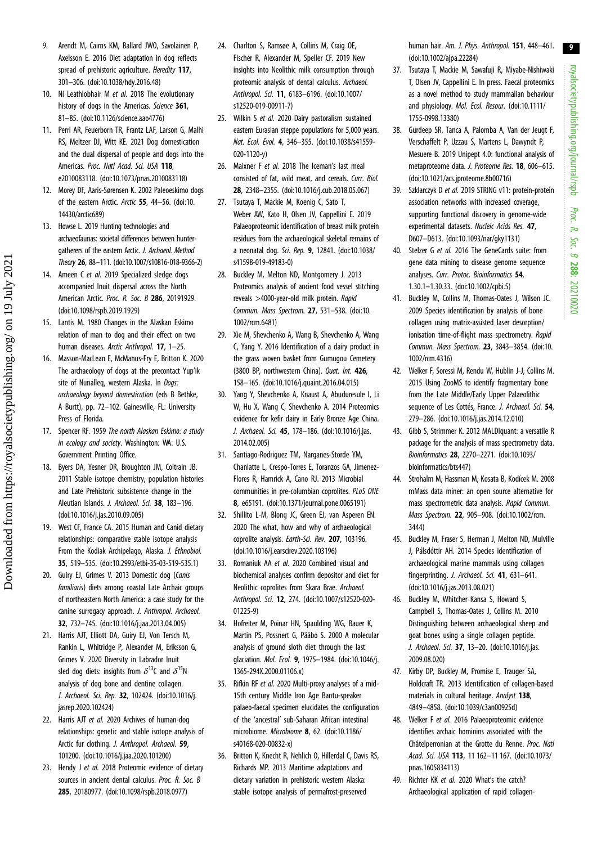royalsocietypublishing.org/journal/rspb royalsocietypublishing.org/journal/rspb Proc. R. Soc. $\sigma$ 288: 20210020

9

- <span id="page-8-0"></span>9. Arendt M, Cairns KM, Ballard JWO, Savolainen P, Axelsson E. 2016 Diet adaptation in dog reflects spread of prehistoric agriculture. Heredity 117, 301–306. ([doi:10.1038/hdy.2016.48\)](http://dx.doi.org/10.1038/hdy.2016.48)
- 10. Ní Leathlobhair M et al. 2018 The evolutionary history of dogs in the Americas. Science 361, 81–85. [\(doi:10.1126/science.aao4776\)](http://dx.doi.org/10.1126/science.aao4776)
- 11. Perri AR, Feuerborn TR, Frantz LAF, Larson G, Malhi RS, Meltzer DJ, Witt KE. 2021 Dog domestication and the dual dispersal of people and dogs into the Americas. Proc. Natl Acad. Sci. USA 118, e2010083118. ([doi:10.1073/pnas.2010083118\)](http://dx.doi.org/10.1073/pnas.2010083118)
- 12. Morey DF, Aaris-Sørensen K. 2002 Paleoeskimo dogs of the eastern Arctic. Arctic 55, 44–56. ([doi:10.](http://dx.doi.org/10.14430/arctic689) [14430/arctic689\)](http://dx.doi.org/10.14430/arctic689)
- 13. Howse L. 2019 Hunting technologies and archaeofaunas: societal differences between huntergatherers of the eastern Arctic. J. Archaeol. Method Theory 26, 88–111. [\(doi:10.1007/s10816-018-9366-2\)](http://dx.doi.org/10.1007/s10816-018-9366-2)
- 14. Ameen C et al. 2019 Specialized sledge dogs accompanied Inuit dispersal across the North American Arctic. Proc. R. Soc. B 286, 20191929. [\(doi:10.1098/rspb.2019.1929](http://dx.doi.org/10.1098/rspb.2019.1929))
- 15. Lantis M. 1980 Changes in the Alaskan Eskimo relation of man to dog and their effect on two human diseases. Arctic Anthropol. 17, 1-25.
- 16. Masson-MacLean E, McManus-Fry E, Britton K. 2020 The archaeology of dogs at the precontact Yup'ik site of Nunalleg, western Alaska. In *Dogs:* archaeology beyond domestication (eds B Bethke, A Burtt), pp. 72–102. Gainesville, FL: University Press of Florida.
- 17. Spencer RF. 1959 The north Alaskan Eskimo: a study in ecology and society. Washington: WA: U.S. Government Printing Office.
- 18. Byers DA, Yesner DR, Broughton JM, Coltrain JB. 2011 Stable isotope chemistry, population histories and Late Prehistoric subsistence change in the Aleutian Islands. J. Archaeol. Sci. 38, 183-196. [\(doi:10.1016/j.jas.2010.09.005](http://dx.doi.org/10.1016/j.jas.2010.09.005))
- 19. West CF, France CA. 2015 Human and Canid dietary relationships: comparative stable isotope analysis From the Kodiak Archipelago, Alaska. J. Ethnobiol. 35, 519–535. ([doi:10.2993/etbi-35-03-519-535.1\)](http://dx.doi.org/10.2993/etbi-35-03-519-535.1)
- 20. Guiry EJ, Grimes V. 2013 Domestic dog (Canis familiaris) diets among coastal Late Archaic groups of northeastern North America: a case study for the canine surrogacy approach. J. Anthropol. Archaeol. 32, 732–745. ([doi:10.1016/j.jaa.2013.04.005](http://dx.doi.org/10.1016/j.jaa.2013.04.005))
- 21. Harris AJT, Elliott DA, Guiry EJ, Von Tersch M, Rankin L, Whitridge P, Alexander M, Eriksson G, Grimes V. 2020 Diversity in Labrador Inuit sled dog diets: insights from  $\delta^{13}$ C and  $\delta^{15}$ N analysis of dog bone and dentine collagen. J. Archaeol. Sci. Rep. 32, 102424. [\(doi:10.1016/j.](http://dx.doi.org/10.1016/j.jasrep.2020.102424) [jasrep.2020.102424](http://dx.doi.org/10.1016/j.jasrep.2020.102424))
- 22. Harris AJT et al. 2020 Archives of human-dog relationships: genetic and stable isotope analysis of Arctic fur clothing. J. Anthropol. Archaeol. 59, 101200. [\(doi:10.1016/j.jaa.2020.101200](http://dx.doi.org/10.1016/j.jaa.2020.101200))
- 23. Hendy J et al. 2018 Proteomic evidence of dietary sources in ancient dental calculus. Proc. R. Soc. B 285, 20180977. ([doi:10.1098/rspb.2018.0977\)](http://dx.doi.org/10.1098/rspb.2018.0977)
- 24. Charlton S, Ramsøe A, Collins M, Craig OE, Fischer R, Alexander M, Speller CF. 2019 New insights into Neolithic milk consumption through proteomic analysis of dental calculus. Archaeol. Anthropol. Sci. 11, 6183–6196. [\(doi:10.1007/](http://dx.doi.org/10.1007/s12520-019-00911-7) [s12520-019-00911-7\)](http://dx.doi.org/10.1007/s12520-019-00911-7)
- 25. Wilkin S et al. 2020 Dairy pastoralism sustained eastern Eurasian steppe populations for 5,000 years. Nat. Ecol. Evol. 4, 346–355. ([doi:10.1038/s41559-](http://dx.doi.org/10.1038/s41559-020-1120-y) [020-1120-y](http://dx.doi.org/10.1038/s41559-020-1120-y))
- 26. Maixner F et al. 2018 The Iceman's last meal consisted of fat, wild meat, and cereals. Curr. Biol. 28, 2348–2355. ([doi:10.1016/j.cub.2018.05.067\)](http://dx.doi.org/10.1016/j.cub.2018.05.067)
- 27. Tsutaya T, Mackie M, Koenig C, Sato T, Weber AW, Kato H, Olsen JV, Cappellini E. 2019 Palaeoproteomic identification of breast milk protein residues from the archaeological skeletal remains of a neonatal dog. Sci. Rep. 9, 12841. ([doi:10.1038/](http://dx.doi.org/10.1038/s41598-019-49183-0) [s41598-019-49183-0\)](http://dx.doi.org/10.1038/s41598-019-49183-0)
- 28. Buckley M, Melton ND, Montgomery J. 2013 Proteomics analysis of ancient food vessel stitching reveals >4000-year-old milk protein. Rapid Commun. Mass Spectrom. 27, 531–538. [\(doi:10.](http://dx.doi.org/10.1002/rcm.6481) [1002/rcm.6481](http://dx.doi.org/10.1002/rcm.6481))
- 29. Xie M, Shevchenko A, Wang B, Shevchenko A, Wang C, Yang Y. 2016 Identification of a dairy product in the grass woven basket from Gumugou Cemetery (3800 BP, northwestern China). Ouat. Int. 426. 158–165. ([doi:10.1016/j.quaint.2016.04.015\)](http://dx.doi.org/10.1016/j.quaint.2016.04.015)
- 30. Yang Y, Shevchenko A, Knaust A, Abuduresule I, Li W, Hu X, Wang C, Shevchenko A. 2014 Proteomics evidence for kefir dairy in Early Bronze Age China. J. Archaeol. Sci. 45, 178–186. [\(doi:10.1016/j.jas.](http://dx.doi.org/10.1016/j.jas.2014.02.005) [2014.02.005\)](http://dx.doi.org/10.1016/j.jas.2014.02.005)
- 31. Santiago-Rodriguez TM, Narganes-Storde YM, Chanlatte L, Crespo-Torres E, Toranzos GA, Jimenez-Flores R, Hamrick A, Cano RJ. 2013 Microbial communities in pre-columbian coprolites. PLoS ONE 8, e65191. [\(doi:10.1371/journal.pone.0065191\)](http://dx.doi.org/10.1371/journal.pone.0065191)
- 32. Shillito L-M, Blong JC, Green EJ, van Asperen EN. 2020 The what, how and why of archaeological coprolite analysis. Earth-Sci. Rev. 207, 103196. [\(doi:10.1016/j.earscirev.2020.103196\)](http://dx.doi.org/10.1016/j.earscirev.2020.103196)
- 33. Romaniuk AA et al. 2020 Combined visual and biochemical analyses confirm depositor and diet for Neolithic coprolites from Skara Brae. Archaeol. Anthropol. Sci. 12, 274. [\(doi:10.1007/s12520-020-](http://dx.doi.org/10.1007/s12520-020-01225-9) [01225-9\)](http://dx.doi.org/10.1007/s12520-020-01225-9)
- 34. Hofreiter M, Poinar HN, Spaulding WG, Bauer K, Martin PS, Possnert G, Pääbo S. 2000 A molecular analysis of ground sloth diet through the last glaciation. Mol. Ecol. 9, 1975–1984. [\(doi:10.1046/j.](http://dx.doi.org/10.1046/j.1365-294X.2000.01106.x) [1365-294X.2000.01106.x\)](http://dx.doi.org/10.1046/j.1365-294X.2000.01106.x)
- 35. Rifkin RF et al. 2020 Multi-proxy analyses of a mid-15th century Middle Iron Age Bantu-speaker palaeo-faecal specimen elucidates the configuration of the 'ancestral' sub-Saharan African intestinal microbiome. Microbiome 8, 62. [\(doi:10.1186/](http://dx.doi.org/10.1186/s40168-020-00832-x) [s40168-020-00832-x\)](http://dx.doi.org/10.1186/s40168-020-00832-x)
- 36. Britton K, Knecht R, Nehlich O, Hillerdal C, Davis RS, Richards MP. 2013 Maritime adaptations and dietary variation in prehistoric western Alaska: stable isotope analysis of permafrost-preserved

human hair. Am. J. Phys. Anthropol. 151, 448–461. ([doi:10.1002/ajpa.22284\)](http://dx.doi.org/10.1002/ajpa.22284)

- 37. Tsutaya T, Mackie M, Sawafuji R, Miyabe-Nishiwaki T, Olsen JV, Cappellini E. In press. Faecal proteomics as a novel method to study mammalian behaviour and physiology. Mol. Ecol. Resour. ([doi:10.1111/](http://dx.doi.org/10.1111/1755-0998.13380) [1755-0998.13380\)](http://dx.doi.org/10.1111/1755-0998.13380)
- 38. Gurdeep SR, Tanca A, Palomba A, Van der Jeugt F, Verschaffelt P, Uzzau S, Martens L, Dawyndt P, Mesuere B. 2019 Unipept 4.0: functional analysis of metaproteome data. J. Proteome Res. 18, 606–615. ([doi:10.1021/acs.jproteome.8b00716\)](http://dx.doi.org/10.1021/acs.jproteome.8b00716)
- 39. Szklarczyk D et al. 2019 STRING v11: protein-protein association networks with increased coverage, supporting functional discovery in genome-wide experimental datasets. Nucleic Acids Res. 47, D607–D613. [\(doi:10.1093/nar/gky1131](http://dx.doi.org/10.1093/nar/gky1131))
- 40. Stelzer G et al. 2016 The GeneCards suite: from gene data mining to disease genome sequence analyses. Curr. Protoc. Bioinformatics 54. 1.30.1–1.30.33. [\(doi:10.1002/cpbi.5](http://dx.doi.org/10.1002/cpbi.5))
- 41. Buckley M, Collins M, Thomas-Oates J, Wilson JC. 2009 Species identification by analysis of bone collagen using matrix-assisted laser desorption/ ionisation time-of-flight mass spectrometry. Rapid Commun. Mass Spectrom. 23, 3843–3854. ([doi:10.](http://dx.doi.org/10.1002/rcm.4316) [1002/rcm.4316\)](http://dx.doi.org/10.1002/rcm.4316)
- 42. Welker F, Soressi M, Rendu W, Hublin J-J, Collins M. 2015 Using ZooMS to identify fragmentary bone from the Late Middle/Early Upper Palaeolithic sequence of Les Cottés, France. J. Archaeol. Sci. 54, 279–286. [\(doi:10.1016/j.jas.2014.12.010](http://dx.doi.org/10.1016/j.jas.2014.12.010))
- 43. Gibb S, Strimmer K. 2012 MALDIquant: a versatile R package for the analysis of mass spectrometry data. Bioinformatics 28, 2270–2271. ([doi:10.1093/](http://dx.doi.org/10.1093/bioinformatics/bts447) [bioinformatics/bts447](http://dx.doi.org/10.1093/bioinformatics/bts447))
- 44. Strohalm M, Hassman M, Kosata B, Kodícek M. 2008 mMass data miner: an open source alternative for mass spectrometric data analysis. Rapid Commun. Mass Spectrom. 22, 905–908. ([doi:10.1002/rcm.](http://dx.doi.org/10.1002/rcm.3444) [3444](http://dx.doi.org/10.1002/rcm.3444))
- 45. Buckley M, Fraser S, Herman J, Melton ND, Mulville J, Pálsdóttir AH. 2014 Species identification of archaeological marine mammals using collagen fingerprinting. J. Archaeol. Sci. 41, 631–641. ([doi:10.1016/j.jas.2013.08.021\)](http://dx.doi.org/10.1016/j.jas.2013.08.021)
- 46. Buckley M, Whitcher Kansa S, Howard S, Campbell S, Thomas-Oates J, Collins M. 2010 Distinguishing between archaeological sheep and goat bones using a single collagen peptide. J. Archaeol. Sci. 37, 13–20. [\(doi:10.1016/j.jas.](http://dx.doi.org/10.1016/j.jas.2009.08.020) [2009.08.020](http://dx.doi.org/10.1016/j.jas.2009.08.020))
- 47. Kirby DP, Buckley M, Promise E, Trauger SA, Holdcraft TR. 2013 Identification of collagen-based materials in cultural heritage. Analyst 138, 4849–4858. [\(doi:10.1039/c3an00925d\)](http://dx.doi.org/10.1039/c3an00925d)
- 48. Welker F et al. 2016 Palaeoproteomic evidence identifies archaic hominins associated with the Châtelperronian at the Grotte du Renne. Proc. Natl Acad. Sci. USA 113, 11 162–11 167. ([doi:10.1073/](http://dx.doi.org/10.1073/pnas.1605834113) [pnas.1605834113\)](http://dx.doi.org/10.1073/pnas.1605834113)
- 49. Richter KK et al. 2020 What's the catch? Archaeological application of rapid collagen-